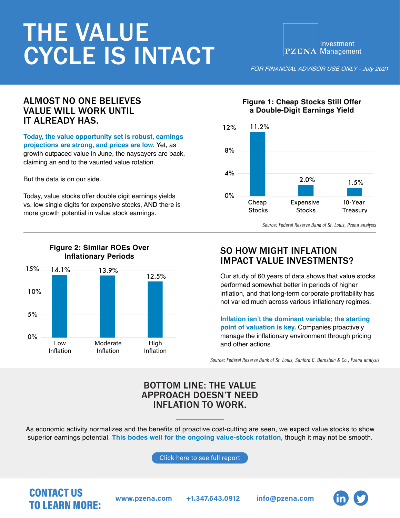# THE VALUE CYCLE IS INTACT

Investment PZENA Management

*FOR FINANCIAL ADVISOR USE ONLY - July 2021* 

#### ALMOST NO ONE BELIEVES VALUE WILL WORK UNTIL IT ALREADY HAS.

**Today, the value opportunity set is robust, earnings projections are strong, and prices are low.** Yet, as growth outpaced value in June, the naysayers are back, claiming an end to the vaunted value rotation.

But the data is on our side.

Today, value stocks offer double digit earnings yields vs. low single digits for expensive stocks, AND there is more growth potential in value stock earnings.



**Figure 1: Cheap Stocks Still Offer a Double-Digit Earnings Yield**

*Source: Federal Reserve Bank of St. Louis, Pzena analysis*

### SO HOW MIGHT INFLATION IMPACT VALUE INVESTMENTS?

Our study of 60 years of data shows that value stocks performed somewhat better in periods of higher inflation, and that long-term corporate profitability has not varied much across various inflationary regimes.

**Inflation isn't the dominant variable; the starting point of valuation is key.** Companies proactively manage the inflationary environment through pricing and other actions.

*Source: Federal Reserve Bank of St. Louis, Sanford C. Bernstein & Co., Pzena analysis*

#### BOTTOM LINE: THE VALUE APPROACH DOESN'T NEED INFLATION TO WORK.

As economic activity normalizes and the benefits of proactive cost-cutting are seen, we expect value stocks to show superior earnings potential. **This bodes well for the ongoing value-stock rotation**, though it may not be smooth.

[Click here to see full report](https://www.pzena.com/staying-the-course-inflation-and-value-investing-fa/)

## CONTACT US **TO LEARN MORE:** www.pzena.com +1.347.643.0912 info@pzena.com<br>TO LEARN MORE:



#### **Figure 2: Similar ROEs Over Inflationary Periods**